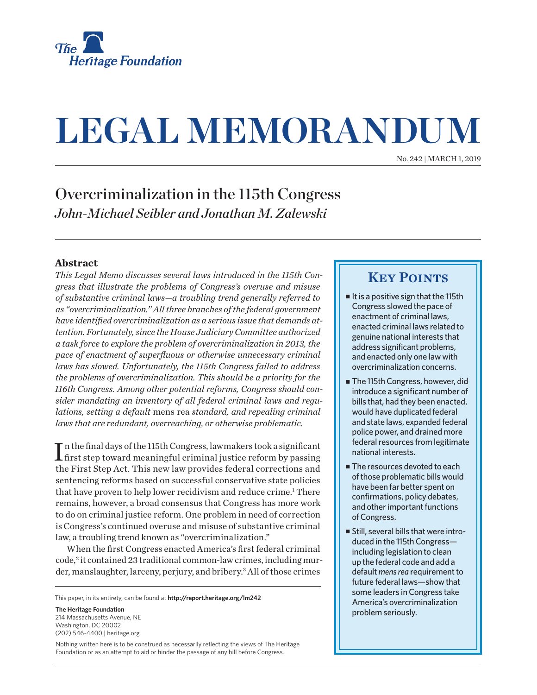

# **LEGAL MEMORANDUM**

No. 242 | March 1, 2019

# Overcriminalization in the 115th Congress *John-Michael Seibler and Jonathan M. Zalewski*

## **Abstract**

*This Legal Memo discusses several laws introduced in the 115th Congress that illustrate the problems of Congress's overuse and misuse of substantive criminal laws—a troubling trend generally referred to as "overcriminalization." All three branches of the federal government have identified overcriminalization as a serious issue that demands attention. Fortunately, since the House Judiciary Committee authorized a task force to explore the problem of overcriminalization in 2013, the pace of enactment of superfluous or otherwise unnecessary criminal laws has slowed. Unfortunately, the 115th Congress failed to address the problems of overcriminalization. This should be a priority for the 116th Congress. Among other potential reforms, Congress should consider mandating an inventory of all federal criminal laws and regulations, setting a default* mens rea *standard, and repealing criminal laws that are redundant, overreaching, or otherwise problematic.*

 $\prod_{}^{\begin{subarray}{c}\mbox{ n the final days of the 115th Congress, law makers took a significant first step toward meaningful criminal justice reform by passing}\end{subarray}}$ In the final days of the 115th Congress, lawmakers took a significant the First Step Act. This new law provides federal corrections and sentencing reforms based on successful conservative state policies that have proven to help lower recidivism and reduce crime.<sup>1</sup> There remains, however, a broad consensus that Congress has more work to do on criminal justice reform. One problem in need of correction is Congress's continued overuse and misuse of substantive criminal law, a troubling trend known as "overcriminalization."

When the first Congress enacted America's first federal criminal code,<sup>2</sup> it contained 23 traditional common-law crimes, including murder, manslaughter, larceny, perjury, and bribery.<sup>3</sup> All of those crimes

This paper, in its entirety, can be found at **http://report.heritage.org/lm242**

**The Heritage Foundation** 214 Massachusetts Avenue, NF Washington, DC 20002 (202) 546-4400 | heritage.org

Nothing written here is to be construed as necessarily reflecting the views of The Heritage Foundation or as an attempt to aid or hinder the passage of any bill before Congress.

## **KEY POINTS**

- $\blacksquare$  It is a positive sign that the 115th Congress slowed the pace of enactment of criminal laws, enacted criminal laws related to genuine national interests that address significant problems, and enacted only one law with overcriminalization concerns.
- The 115th Congress, however, did introduce a significant number of bills that, had they been enacted, would have duplicated federal and state laws, expanded federal police power, and drained more federal resources from legitimate national interests.
- $\blacksquare$  The resources devoted to each of those problematic bills would have been far better spent on confirmations, policy debates, and other important functions of Congress.
- <sup>n</sup> Still, several bills that were introduced in the 115th Congress including legislation to clean up the federal code and add a default *mens rea* requirement to future federal laws—show that some leaders in Congress take America's overcriminalization problem seriously.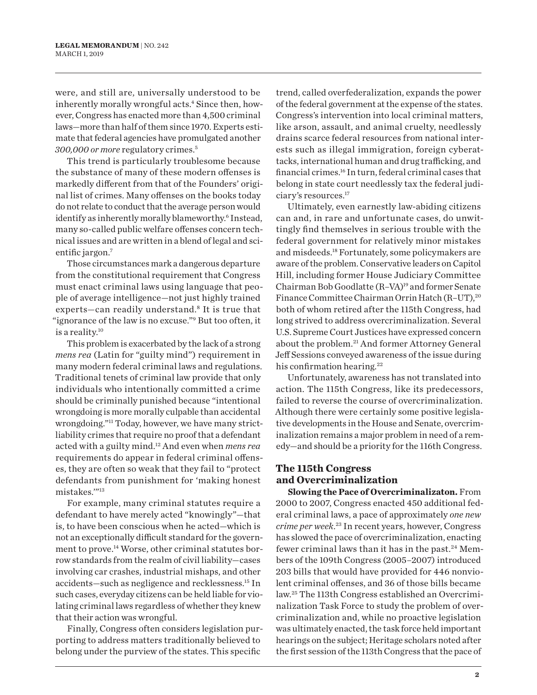were, and still are, universally understood to be inherently morally wrongful acts.<sup>4</sup> Since then, however, Congress has enacted more than 4,500 criminal laws—more than half of them since 1970. Experts estimate that federal agencies have promulgated another *300,000 or more* regulatory crimes.5

This trend is particularly troublesome because the substance of many of these modern offenses is markedly different from that of the Founders' original list of crimes. Many offenses on the books today do not relate to conduct that the average person would identify as inherently morally blameworthy.<sup>6</sup> Instead, many so-called public welfare offenses concern technical issues and are written in a blend of legal and scientific jargon.<sup>7</sup>

Those circumstances mark a dangerous departure from the constitutional requirement that Congress must enact criminal laws using language that people of average intelligence—not just highly trained experts—can readily understand.8 It is true that "ignorance of the law is no excuse."<sup>9</sup> But too often, it is a reality.10

This problem is exacerbated by the lack of a strong *mens rea* (Latin for "guilty mind") requirement in many modern federal criminal laws and regulations. Traditional tenets of criminal law provide that only individuals who intentionally committed a crime should be criminally punished because "intentional wrongdoing is more morally culpable than accidental wrongdoing."11 Today, however, we have many strictliability crimes that require no proof that a defendant acted with a guilty mind.12 And even when *mens rea* requirements do appear in federal criminal offenses, they are often so weak that they fail to "protect defendants from punishment for 'making honest mistakes.'"13

For example, many criminal statutes require a defendant to have merely acted "knowingly"—that is, to have been conscious when he acted—which is not an exceptionally difficult standard for the government to prove.<sup>14</sup> Worse, other criminal statutes borrow standards from the realm of civil liability—cases involving car crashes, industrial mishaps, and other accidents—such as negligence and recklessness.15 In such cases, everyday citizens can be held liable for violating criminal laws regardless of whether they knew that their action was wrongful.

Finally, Congress often considers legislation purporting to address matters traditionally believed to belong under the purview of the states. This specific

trend, called overfederalization, expands the power of the federal government at the expense of the states. Congress's intervention into local criminal matters, like arson, assault, and animal cruelty, needlessly drains scarce federal resources from national interests such as illegal immigration, foreign cyberattacks, international human and drug trafficking, and financial crimes.16 In turn, federal criminal cases that belong in state court needlessly tax the federal judiciary's resources.17

Ultimately, even earnestly law-abiding citizens can and, in rare and unfortunate cases, do unwittingly find themselves in serious trouble with the federal government for relatively minor mistakes and misdeeds.18 Fortunately, some policymakers are aware of the problem. Conservative leaders on Capitol Hill, including former House Judiciary Committee Chairman Bob Goodlatte (R–VA) 19 and former Senate Finance Committee Chairman Orrin Hatch (R-UT),<sup>20</sup> both of whom retired after the 115th Congress, had long strived to address overcriminalization. Several U.S. Supreme Court Justices have expressed concern about the problem.21 And former Attorney General Jeff Sessions conveyed awareness of the issue during his confirmation hearing.<sup>22</sup>

Unfortunately, awareness has not translated into action. The 115th Congress, like its predecessors, failed to reverse the course of overcriminalization. Although there were certainly some positive legislative developments in the House and Senate, overcriminalization remains a major problem in need of a remedy—and should be a priority for the 116th Congress.

## **The 115th Congress and Overcriminalization**

**Slowing the Pace of Overcriminalizaton.** From 2000 to 2007, Congress enacted 450 additional federal criminal laws, a pace of approximately *one new crime per week*. 23 In recent years, however, Congress has slowed the pace of overcriminalization, enacting fewer criminal laws than it has in the past.<sup>24</sup> Members of the 109th Congress (2005–2007) introduced 203 bills that would have provided for 446 nonviolent criminal offenses, and 36 of those bills became law.25 The 113th Congress established an Overcriminalization Task Force to study the problem of overcriminalization and, while no proactive legislation was ultimately enacted, the task force held important hearings on the subject; Heritage scholars noted after the first session of the 113th Congress that the pace of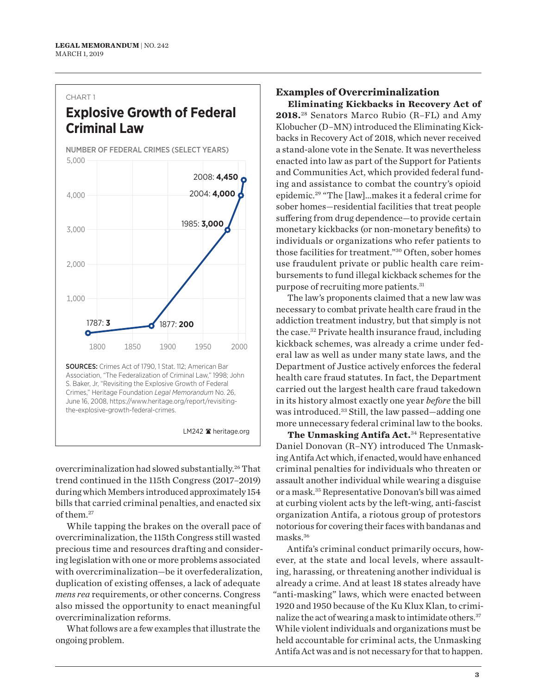#### CHART 1

# **Explosive Growth of Federal Criminal Law**

NUMBER OF FEDERAL CRIMES (SELECT YEARS)



the-explosive-growth-federal-crimes.

LM242 heritage.org

overcriminalization had slowed substantially.26 That trend continued in the 115th Congress (2017–2019) during which Members introduced approximately 154 bills that carried criminal penalties, and enacted six of them.27

While tapping the brakes on the overall pace of overcriminalization, the 115th Congress still wasted precious time and resources drafting and considering legislation with one or more problems associated with overcriminalization—be it overfederalization, duplication of existing offenses, a lack of adequate *mens rea* requirements, or other concerns. Congress also missed the opportunity to enact meaningful overcriminalization reforms.

What follows are a few examples that illustrate the ongoing problem.

## **Examples of Overcriminalization**

**Eliminating Kickbacks in Recovery Act of 2018.**<sup>28</sup> Senators Marco Rubio (R–FL) and Amy Klobucher (D–MN) introduced the Eliminating Kickbacks in Recovery Act of 2018, which never received a stand-alone vote in the Senate. It was nevertheless enacted into law as part of the Support for Patients and Communities Act, which provided federal funding and assistance to combat the country's opioid epidemic.29 "The [law]…makes it a federal crime for sober homes—residential facilities that treat people suffering from drug dependence—to provide certain monetary kickbacks (or non-monetary benefits) to individuals or organizations who refer patients to those facilities for treatment."30 Often, sober homes use fraudulent private or public health care reimbursements to fund illegal kickback schemes for the purpose of recruiting more patients.31

The law's proponents claimed that a new law was necessary to combat private health care fraud in the addiction treatment industry, but that simply is not the case.32 Private health insurance fraud, including kickback schemes, was already a crime under federal law as well as under many state laws, and the Department of Justice actively enforces the federal health care fraud statutes. In fact, the Department carried out the largest health care fraud takedown in its history almost exactly one year *before* the bill was introduced.<sup>33</sup> Still, the law passed—adding one more unnecessary federal criminal law to the books.

**The Unmasking Antifa Act.**<sup>34</sup> Representative Daniel Donovan (R–NY) introduced The Unmasking Antifa Act which, if enacted, would have enhanced criminal penalties for individuals who threaten or assault another individual while wearing a disguise or a mask.35Representative Donovan's bill was aimed at curbing violent acts by the left-wing, anti-fascist organization Antifa, a riotous group of protestors notorious for covering their faces with bandanas and masks.<sup>36</sup>

Antifa's criminal conduct primarily occurs, however, at the state and local levels, where assaulting, harassing, or threatening another individual is already a crime. And at least 18 states already have "anti-masking" laws, which were enacted between 1920 and 1950 because of the Ku Klux Klan, to criminalize the act of wearing a mask to intimidate others.37 While violent individuals and organizations must be held accountable for criminal acts, the Unmasking Antifa Act was and is not necessary for that to happen.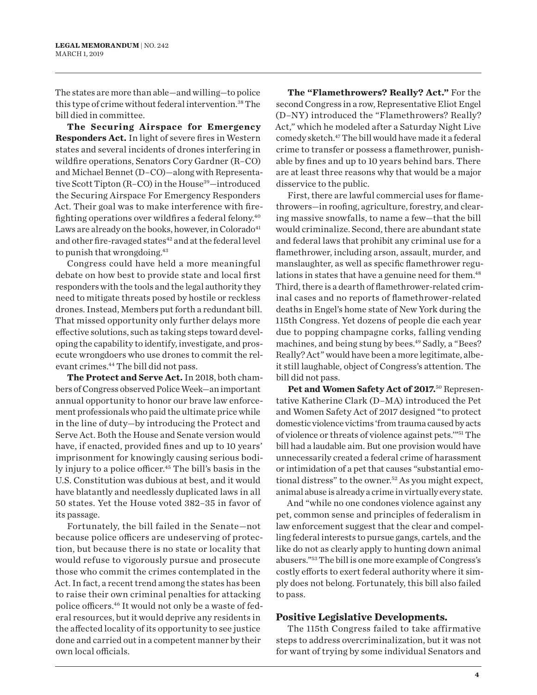The states are more than able—and willing—to police this type of crime without federal intervention.<sup>38</sup> The bill died in committee.

**The Securing Airspace for Emergency Responders Act.** In light of severe fires in Western states and several incidents of drones interfering in wildfire operations, Senators Cory Gardner (R–CO) and Michael Bennet (D–CO)—along with Representative Scott Tipton (R-CO) in the House<sup>39</sup>-introduced the Securing Airspace For Emergency Responders Act. Their goal was to make interference with firefighting operations over wildfires a federal felony.40 Laws are already on the books, however, in Colorado $41$ and other fire-ravaged states<sup>42</sup> and at the federal level to punish that wrongdoing.43

Congress could have held a more meaningful debate on how best to provide state and local first responders with the tools and the legal authority they need to mitigate threats posed by hostile or reckless drones. Instead, Members put forth a redundant bill. That missed opportunity only further delays more effective solutions, such as taking steps toward developing the capability to identify, investigate, and prosecute wrongdoers who use drones to commit the relevant crimes.<sup>44</sup> The bill did not pass.

**The Protect and Serve Act.** In 2018, both chambers of Congress observed Police Week—an important annual opportunity to honor our brave law enforcement professionals who paid the ultimate price while in the line of duty—by introducing the Protect and Serve Act. Both the House and Senate version would have, if enacted, provided fines and up to 10 years' imprisonment for knowingly causing serious bodily injury to a police officer.<sup>45</sup> The bill's basis in the U.S. Constitution was dubious at best, and it would have blatantly and needlessly duplicated laws in all 50 states. Yet the House voted 382–35 in favor of its passage.

Fortunately, the bill failed in the Senate—not because police officers are undeserving of protection, but because there is no state or locality that would refuse to vigorously pursue and prosecute those who commit the crimes contemplated in the Act. In fact, a recent trend among the states has been to raise their own criminal penalties for attacking police officers.46 It would not only be a waste of federal resources, but it would deprive any residents in the affected locality of its opportunity to see justice done and carried out in a competent manner by their own local officials.

**The "Flamethrowers? Really? Act."** For the second Congress in a row, Representative Eliot Engel (D–NY) introduced the "Flamethrowers? Really? Act," which he modeled after a Saturday Night Live comedy sketch.47 The bill would have made it a federal crime to transfer or possess a flamethrower, punishable by fines and up to 10 years behind bars. There are at least three reasons why that would be a major disservice to the public.

First, there are lawful commercial uses for flamethrowers—in roofing, agriculture, forestry, and clearing massive snowfalls, to name a few—that the bill would criminalize. Second, there are abundant state and federal laws that prohibit any criminal use for a flamethrower, including arson, assault, murder, and manslaughter, as well as specific flamethrower regulations in states that have a genuine need for them.<sup>48</sup> Third, there is a dearth of flamethrower-related criminal cases and no reports of flamethrower-related deaths in Engel's home state of New York during the 115th Congress. Yet dozens of people die each year due to popping champagne corks, falling vending machines, and being stung by bees.<sup>49</sup> Sadly, a "Bees? Really? Act" would have been a more legitimate, albeit still laughable, object of Congress's attention. The bill did not pass.

**Pet and Women Safety Act of 2017.**<sup>50</sup> Representative Katherine Clark (D–MA) introduced the Pet and Women Safety Act of 2017 designed "to protect domestic violence victims 'from trauma caused by acts of violence or threats of violence against pets.'"51 The bill had a laudable aim. But one provision would have unnecessarily created a federal crime of harassment or intimidation of a pet that causes "substantial emotional distress" to the owner.<sup>52</sup> As you might expect, animal abuse is already a crime in virtually every state.

And "while no one condones violence against any pet, common sense and principles of federalism in law enforcement suggest that the clear and compelling federal interests to pursue gangs, cartels, and the like do not as clearly apply to hunting down animal abusers."53 The bill is one more example of Congress's costly efforts to exert federal authority where it simply does not belong. Fortunately, this bill also failed to pass.

#### **Positive Legislative Developments.**

The 115th Congress failed to take affirmative steps to address overcriminalization, but it was not for want of trying by some individual Senators and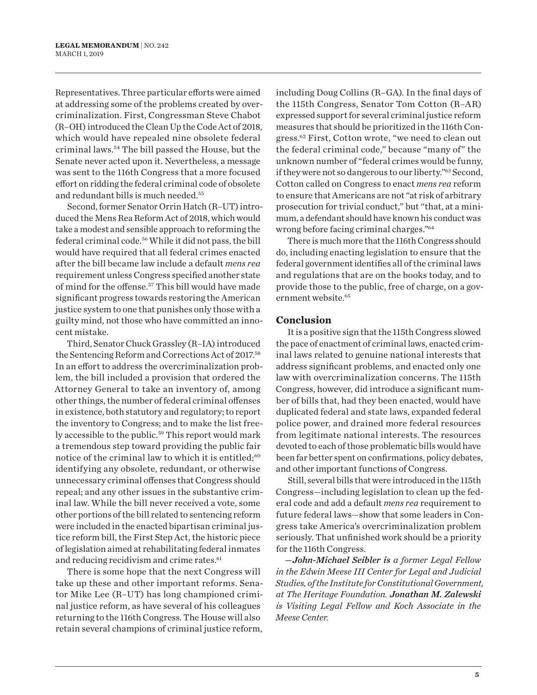Representatives. Three particular efforts were aimed at addressing some of the problems created by overcriminalization. First, Congressman Steve Chabot (R–OH) introduced the Clean Up the Code Act of 2018, which would have repealed nine obsolete federal criminal laws.54 The bill passed the House, but the Senate never acted upon it. Nevertheless, a message was sent to the 116th Congress that a more focused effort on ridding the federal criminal code of obsolete and redundant bills is much needed.55

Second, former Senator Orrin Hatch (R–UT) introduced the Mens Rea Reform Act of 2018, which would take a modest and sensible approach to reforming the federal criminal code.56 While it did not pass, the bill would have required that all federal crimes enacted after the bill became law include a default *mens rea* requirement unless Congress specified another state of mind for the offense.57 This bill would have made significant progress towards restoring the American justice system to one that punishes only those with a guilty mind, not those who have committed an innocent mistake.

Third, Senator Chuck Grassley (R–IA) introduced the Sentencing Reform and Corrections Act of 2017.58 In an effort to address the overcriminalization problem, the bill included a provision that ordered the Attorney General to take an inventory of, among other things, the number of federal criminal offenses in existence, both statutory and regulatory; to report the inventory to Congress; and to make the list freely accessible to the public.<sup>59</sup> This report would mark a tremendous step toward providing the public fair notice of the criminal law to which it is entitled;<sup>60</sup> identifying any obsolete, redundant, or otherwise unnecessary criminal offenses that Congress should repeal; and any other issues in the substantive criminal law. While the bill never received a vote, some other portions of the bill related to sentencing reform were included in the enacted bipartisan criminal justice reform bill, the First Step Act, the historic piece of legislation aimed at rehabilitating federal inmates and reducing recidivism and crime rates.<sup>61</sup>

There is some hope that the next Congress will take up these and other important reforms. Senator Mike Lee (R–UT) has long championed criminal justice reform, as have several of his colleagues returning to the 116th Congress. The House will also retain several champions of criminal justice reform, including Doug Collins (R–GA). In the final days of the 115th Congress, Senator Tom Cotton (R–AR) expressed support for several criminal justice reform measures that should be prioritized in the 116th Congress.62 First, Cotton wrote, "we need to clean out the federal criminal code," because "many of" the unknown number of "federal crimes would be funny, if they were not so dangerous to our liberty."63 Second, Cotton called on Congress to enact *mens rea* reform to ensure that Americans are not "at risk of arbitrary prosecution for trivial conduct," but "that, at a minimum, a defendant should have known his conduct was wrong before facing criminal charges."64

There is much more that the 116th Congress should do, including enacting legislation to ensure that the federal government identifies all of the criminal laws and regulations that are on the books today, and to provide those to the public, free of charge, on a government website.65

### **Conclusion**

It is a positive sign that the 115th Congress slowed the pace of enactment of criminal laws, enacted criminal laws related to genuine national interests that address significant problems, and enacted only one law with overcriminalization concerns. The 115th Congress, however, did introduce a significant number of bills that, had they been enacted, would have duplicated federal and state laws, expanded federal police power, and drained more federal resources from legitimate national interests. The resources devoted to each of those problematic bills would have been far better spent on confirmations, policy debates, and other important functions of Congress.

Still, several bills that were introduced in the 115th Congress—including legislation to clean up the federal code and add a default *mens rea* requirement to future federal laws—show that some leaders in Congress take America's overcriminalization problem seriously. That unfinished work should be a priority for the 116th Congress.

*—John-Michael Seibler is a former Legal Fellow in the Edwin Meese III Center for Legal and Judicial Studies, of the Institute for Constitutional Government, at The Heritage Foundation. Jonathan M. Zalewski is Visiting Legal Fellow and Koch Associate in the Meese Center.*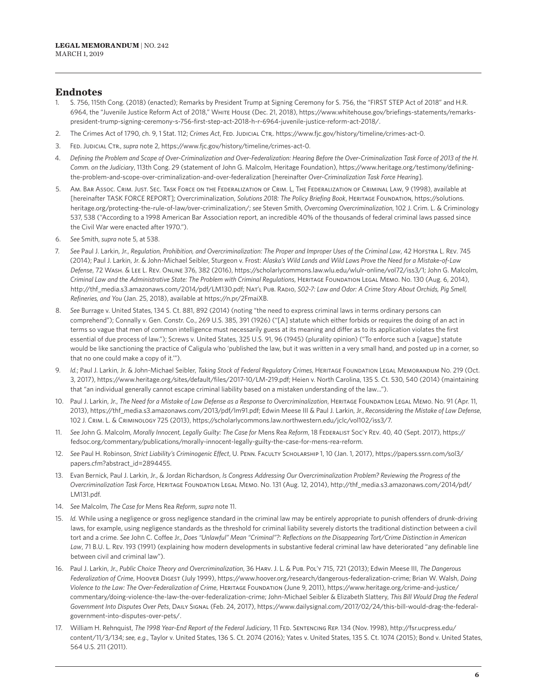## **Endnotes**

- 1. S. 756, 115th Cong. (2018) (enacted); Remarks by President Trump at Signing Ceremony for S. 756, the "FIRST STEP Act of 2018" and H.R. 6964, the "Juvenile Justice Reform Act of 2018," White House (Dec. 21, 2018), https://www.whitehouse.gov/briefings-statements/remarkspresident-trump-signing-ceremony-s-756-first-step-act-2018-h-r-6964-juvenile-justice-reform-act-2018/.
- 2. The Crimes Act of 1790, ch. 9, 1 Stat. 112; *Crimes Act*, Fed. Judicial Ctr,. https://www.fjc.gov/history/timeline/crimes-act-0.
- 3. Fed. Judicial Ctr., *supra* note 2, https://www.fjc.gov/history/timeline/crimes-act-0.
- 4. *Defining the Problem and Scope of Over-Criminalization and Over-Federalization: Hearing Before the Over-Criminalization Task Force of 2013 of the H. Comm. on the Judiciary*, 113th Cong. 29 (statement of John G. Malcolm, Heritage Foundation), https://www.heritage.org/testimony/definingthe-problem-and-scope-over-criminalization-and-over-federalization [hereinafter *Over-Criminalization Task Force Hearing*].
- 5. Am. Bar Assoc. Crim. Just. Sec. Task Force on the Federalization of Crim. L, The Federalization of Criminal Law, 9 (1998), available at [hereinafter TASK FORCE REPORT]; Overcriminalization, *Solutions 2018: The Policy Briefing Book*, Heritage Foundation, https://solutions. heritage.org/protecting-the-rule-of-law/over-criminalization/; *see* Steven Smith, *Overcoming Overcriminalization*, 102 J. Crim. L. & Criminology 537, 538 ("According to a 1998 American Bar Association report, an incredible 40% of the thousands of federal criminal laws passed since the Civil War were enacted after 1970.").
- 6. *See* Smith, *supra* note 5, at 538.
- 7. *See* Paul J. Larkin, Jr., *Regulation, Prohibition, and Overcriminalization: The Proper and Improper Uses of the Criminal Law*, 42 Hofstra L. Rev. 745 (2014); Paul J. Larkin, Jr. & John-Michael Seibler, Sturgeon v. Frost: *Alaska's Wild Lands and Wild Laws Prove the Need for a Mistake-of-Law Defense*, 72 Wash. & Lee L. Rev. Online 376, 382 (2016), https://scholarlycommons.law.wlu.edu/wlulr-online/vol72/iss3/1; John G. Malcolm, *Criminal Law and the Administrative State: The Problem with Criminal Regulations*, Heritage Foundation Legal Memo. No. 130 (Aug. 6, 2014), http://thf\_media.s3.amazonaws.com/2014/pdf/LM130.pdf; Nat'l Pub. Radio, *S02-7: Law and Odor: A Crime Story About Orchids, Pig Smell, Refineries, and You* (Jan. 25, 2018), available at https://n.pr/2FmaiXB.
- 8. *See* Burrage v. United States, 134 S. Ct. 881, 892 (2014) (noting "the need to express criminal laws in terms ordinary persons can comprehend"); Connally v. Gen. Constr. Co., 269 U.S. 385, 391 (1926) ("[A] statute which either forbids or requires the doing of an act in terms so vague that men of common intelligence must necessarily guess at its meaning and differ as to its application violates the first essential of due process of law."); Screws v. United States, 325 U.S. 91, 96 (1945) (plurality opinion) ("To enforce such a [vague] statute would be like sanctioning the practice of Caligula who 'published the law, but it was written in a very small hand, and posted up in a corner, so that no one could make a copy of it.'").
- 9. *Id.*; Paul J. Larkin, Jr. & John-Michael Seibler, *Taking Stock of Federal Regulatory Crimes*, HERITAGE FOUNDATION LEGAL MEMORANDUM No. 219 (Oct. 3, 2017), https://www.heritage.org/sites/default/files/2017-10/LM-219.pdf; Heien v. North Carolina, 135 S. Ct. 530, 540 (2014) (maintaining that "an individual generally cannot escape criminal liability based on a mistaken understanding of the law…").
- 10. Paul J. Larkin, Jr., The Need for a Mistake of Law Defense as a Response to Overcriminalization, HERITAGE FOUNDATION LEGAL MEMO. No. 91 (Apr. 11, 2013), https://thf\_media.s3.amazonaws.com/2013/pdf/lm91.pdf; Edwin Meese III & Paul J. Larkin, Jr., *Reconsidering the Mistake of Law Defense*, 102 J. Crim. L. & Criminology 725 (2013), https://scholarlycommons.law.northwestern.edu/jclc/vol102/iss3/7.
- 11. *See* John G. Malcolm, *Morally Innocent, Legally Guilty: The Case for* Mens Rea *Reform*, 18 Federalist Soc'y Rev. 40, 40 (Sept. 2017), https:// fedsoc.org/commentary/publications/morally-innocent-legally-guilty-the-case-for-mens-rea-reform.
- 12. *See* Paul H. Robinson, *Strict Liability's Criminogenic Effect*, U. Penn. Faculty Scholarship 1, 10 (Jan. 1, 2017), https://papers.ssrn.com/sol3/ papers.cfm?abstract\_id=2894455.
- 13. Evan Bernick, Paul J. Larkin, Jr., & Jordan Richardson, *Is Congress Addressing Our Overcriminalization Problem? Reviewing the Progress of the Overcriminalization Task Force*, Heritage Foundation Legal Memo. No. 131 (Aug. 12, 2014), http://thf\_media.s3.amazonaws.com/2014/pdf/ LM131.pdf.
- 14. *See* Malcolm, *The Case for* Mens Rea *Reform*, *supra* note 11.
- 15. *Id.* While using a negligence or gross negligence standard in the criminal law may be entirely appropriate to punish offenders of drunk-driving laws, for example, using negligence standards as the threshold for criminal liability severely distorts the traditional distinction between a civil tort and a crime. *See* John C. Coffee Jr., *Does "Unlawful" Mean "Criminal"?: Reflections on the Disappearing Tort/Crime Distinction in American Law*, 71 B.U. L. Rev. 193 (1991) (explaining how modern developments in substantive federal criminal law have deteriorated "any definable line between civil and criminal law").
- 16. Paul J. Larkin, Jr., *Public Choice Theory and Overcriminalization*, 36 Harv. J. L. & Pub. Pol'y 715, 721 (2013); Edwin Meese III, *The Dangerous Federalization of Crime*, Hoover Digest (July 1999), https://www.hoover.org/research/dangerous-federalization-crime; Brian W. Walsh, *Doing Violence to the Law: The Over-Federalization of Crime*, Heritage Foundation (June 9, 2011), https://www.heritage.org/crime-and-justice/ commentary/doing-violence-the-law-the-over-federalization-crime; John-Michael Seibler & Elizabeth Slattery, *This Bill Would Drag the Federal Government Into Disputes Over Pets*, Daily Signal (Feb. 24, 2017), https://www.dailysignal.com/2017/02/24/this-bill-would-drag-the-federalgovernment-into-disputes-over-pets/.
- 17. William H. Rehnquist, *The 1998 Year-End Report of the Federal Judiciary*, 11 Fed. Sentencing Rep. 134 (Nov. 1998), http://fsr.ucpress.edu/ content/11/3/134; *see, e.g.*, Taylor v. United States, 136 S. Ct. 2074 (2016); Yates v. United States, 135 S. Ct. 1074 (2015); Bond v. United States, 564 U.S. 211 (2011).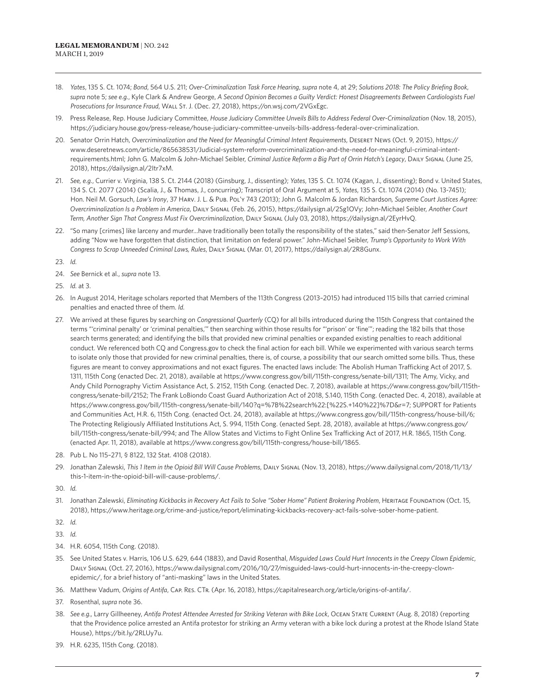- 18. Yates, 135 S. Ct. 1074; Bond, 564 U.S. 211; Over-Criminalization Task Force Hearing, supra note 4, at 29; Solutions 2018: The Policy Briefing Book, *supra* note 5; *see e.g.*, Kyle Clark & Andrew George, *A Second Opinion Becomes a Guilty Verdict: Honest Disagreements Between Cardiologists Fuel Prosecutions for Insurance Fraud*, Wall St. J. (Dec. 27, 2018), https://on.wsj.com/2VGxEgc.
- 19. Press Release, Rep. House Judiciary Committee, *House Judiciary Committee Unveils Bills to Address Federal Over-Criminalization* (Nov. 18, 2015), https://judiciary.house.gov/press-release/house-judiciary-committee-unveils-bills-address-federal-over-criminalization.
- 20. Senator Orrin Hatch, *Overcriminalization and the Need for Meaningful Criminal Intent Requirements*, Deseret News (Oct. 9, 2015), https:// www.deseretnews.com/article/865638531/Judicial-system-reform-overcriminalization-and-the-need-for-meaningful-criminal-intentrequirements.html; John G. Malcolm & John-Michael Seibler, *Criminal Justice Reform a Big Part of Orrin Hatch's Legacy*, Daily Signal (June 25, 2018), https://dailysign.al/2Itr7xM.
- 21. *See, e.g.*, Currier v. Virginia, 138 S. Ct. 2144 (2018) (Ginsburg, J., dissenting); *Yates*, 135 S. Ct. 1074 (Kagan, J., dissenting); Bond v. United States, 134 S. Ct. 2077 (2014) (Scalia, J., & Thomas, J., concurring); Transcript of Oral Argument at 5, *Yates*, 135 S. Ct. 1074 (2014) (No. 13-7451); Hon. Neil M. Gorsuch, *Law's Irony*, 37 Harv. J. L. & Pub. Pol'y 743 (2013); John G. Malcolm & Jordan Richardson*, Supreme Court Justices Agree: Overcriminalization Is a Problem in America*, Daily Signal (Feb. 26, 2015), https://dailysign.al/2Sg1OVy; John-Michael Seibler, *Another Court Term, Another Sign That Congress Must Fix Overcriminalization*, Daily Signal (July 03, 2018), https://dailysign.al/2EyrHvQ.
- 22. "So many [crimes] like larceny and murder…have traditionally been totally the responsibility of the states," said then-Senator Jeff Sessions, adding "Now we have forgotten that distinction, that limitation on federal power." John-Michael Seibler, *Trump's Opportunity to Work With Congress to Scrap Unneeded Criminal Laws, Rules*, Daily Signal (Mar. 01, 2017), https://dailysign.al/2R8Gunx.
- 23. *Id.*
- 24. *See* Bernick et al., *supra* note 13.
- 25. *Id.* at 3.
- 26. In August 2014, Heritage scholars reported that Members of the 113th Congress (2013–2015) had introduced 115 bills that carried criminal penalties and enacted three of them. *Id.*
- 27. We arrived at these figures by searching on *Congressional Quarterly* (CQ) for all bills introduced during the 115th Congress that contained the terms "'criminal penalty' or 'criminal penalties,'" then searching within those results for "'prison' or 'fine'"; reading the 182 bills that those search terms generated; and identifying the bills that provided new criminal penalties or expanded existing penalties to reach additional conduct. We referenced both CQ and Congress.gov to check the final action for each bill. While we experimented with various search terms to isolate only those that provided for new criminal penalties, there is, of course, a possibility that our search omitted some bills. Thus, these figures are meant to convey approximations and not exact figures. The enacted laws include: The Abolish Human Trafficking Act of 2017, S. 1311, 115th Cong (enacted Dec. 21, 2018), available at https://www.congress.gov/bill/115th-congress/senate-bill/1311; The Amy, Vicky, and Andy Child Pornography Victim Assistance Act, S. 2152, 115th Cong. (enacted Dec. 7, 2018), available at https://www.congress.gov/bill/115thcongress/senate-bill/2152; The Frank LoBiondo Coast Guard Authorization Act of 2018, S.140, 115th Cong. (enacted Dec. 4, 2018), available at https://www.congress.gov/bill/115th-congress/senate-bill/140?q=%7B%22search%22:[%22S.+140%22]%7D&r=7; SUPPORT for Patients and Communities Act, H.R. 6, 115th Cong. (enacted Oct. 24, 2018), available at https://www.congress.gov/bill/115th-congress/house-bill/6; The Protecting Religiously Affiliated Institutions Act, S. 994, 115th Cong. (enacted Sept. 28, 2018), available at https://www.congress.gov/ bill/115th-congress/senate-bill/994; and The Allow States and Victims to Fight Online Sex Trafficking Act of 2017, H.R. 1865, 115th Cong. (enacted Apr. 11, 2018), available at https://www.congress.gov/bill/115th-congress/house-bill/1865.
- 28. Pub L. No 115–271, § 8122, 132 Stat. 4108 (2018).
- 29. Jonathan Zalewski, *This 1 Item in the Opioid Bill Will Cause Problems*, Daily Signal (Nov. 13, 2018), https://www.dailysignal.com/2018/11/13/ this-1-item-in-the-opioid-bill-will-cause-problems/.
- 30. *Id.*
- 31. Jonathan Zalewski, *Eliminating Kickbacks in Recovery Act Fails to Solve "Sober Home" Patient Brokering Problem*, HERITAGE FOUNDATION (Oct. 15, 2018), https://www.heritage.org/crime-and-justice/report/eliminating-kickbacks-recovery-act-fails-solve-sober-home-patient.

32. *Id.*

- 33. *Id.*
- 34. H.R. 6054, 115th Cong. (2018).
- 35. See United States v. Harris, 106 U.S. 629, 644 (1883), and David Rosenthal, *Misguided Laws Could Hurt Innocents in the Creepy Clown Epidemic*, Daily Signal (Oct. 27, 2016), https://www.dailysignal.com/2016/10/27/misguided-laws-could-hurt-innocents-in-the-creepy-clownepidemic/, for a brief history of "anti-masking" laws in the United States.
- 36. Matthew Vadum, *Origins of Antifa*, Cap. Res. CTr. (Apr. 16, 2018), https://capitalresearch.org/article/origins-of-antifa/.
- 37. Rosenthal, *supra* note 36.
- 38. *See e.g.,* Larry Gillheeney, *Antifa Protest Attendee Arrested for Striking Veteran with Bike Lock*, Ocean State Current (Aug. 8, 2018) (reporting that the Providence police arrested an Antifa protestor for striking an Army veteran with a bike lock during a protest at the Rhode Island State House), https://bit.ly/2RLUy7u.
- 39. H.R. 6235, 115th Cong. (2018).